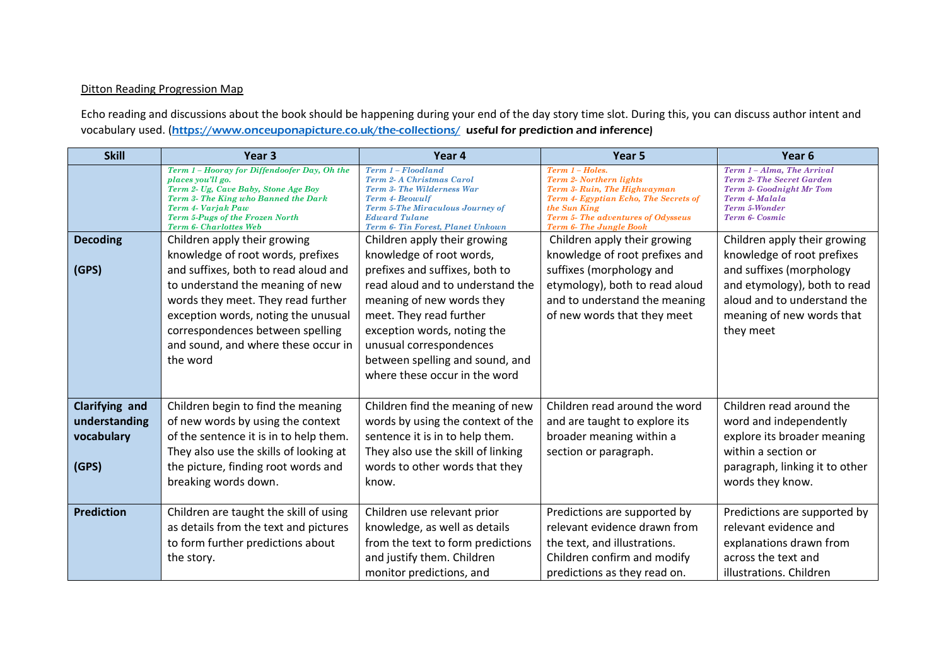## Ditton Reading Progression Map

Echo reading and discussions about the book should be happening during your end of the day story time slot. During this, you can discuss author intent and vocabulary used. (<https://www.onceuponapicture.co.uk/the-collections/>useful for prediction and inference)

| <b>Skill</b>                                           | Year <sub>3</sub>                                                                                                                                                                                                                                                                 | Year 4                                                                                                                                                                                                                                                                               | Year 5                                                                                                                                                                                                             | Year <sub>6</sub>                                                                                                                                               |
|--------------------------------------------------------|-----------------------------------------------------------------------------------------------------------------------------------------------------------------------------------------------------------------------------------------------------------------------------------|--------------------------------------------------------------------------------------------------------------------------------------------------------------------------------------------------------------------------------------------------------------------------------------|--------------------------------------------------------------------------------------------------------------------------------------------------------------------------------------------------------------------|-----------------------------------------------------------------------------------------------------------------------------------------------------------------|
|                                                        | Term 1 - Hooray for Diffendoofer Day, Oh the<br>places you'll go.<br>Term 2- Ug, Cave Baby, Stone Age Boy<br>Term 3- The King who Banned the Dark<br><b>Term 4- Varjak Paw</b><br>Term 5-Pugs of the Frozen North<br>Term 6- Charlottes Web                                       | Term 1-Floodland<br><b>Term 2-A Christmas Carol</b><br>Term 3- The Wilderness War<br><b>Term 4- Beowulf</b><br><b>Term 5-The Miraculous Journey of</b><br><b>Edward Tulane</b><br>Term 6- Tin Forest, Planet Unkown                                                                  | Term 1 - Holes.<br><b>Term 2- Northern lights</b><br>Term 3- Ruin, The Highwayman<br>Term 4- Egyptian Echo, The Secrets of<br>the Sun King<br>Term 5- The adventures of Odysseus<br><b>Term 6- The Jungle Book</b> | Term 1-Alma, The Arrival<br><b>Term 2- The Secret Garden</b><br><b>Term 3- Goodnight Mr Tom</b><br>Term 4-Malala<br>Term 5-Wonder<br>Term 6- Cosmic             |
| <b>Decoding</b>                                        | Children apply their growing                                                                                                                                                                                                                                                      | Children apply their growing                                                                                                                                                                                                                                                         | Children apply their growing                                                                                                                                                                                       | Children apply their growing                                                                                                                                    |
| (GPS)                                                  | knowledge of root words, prefixes<br>and suffixes, both to read aloud and<br>to understand the meaning of new<br>words they meet. They read further<br>exception words, noting the unusual<br>correspondences between spelling<br>and sound, and where these occur in<br>the word | knowledge of root words,<br>prefixes and suffixes, both to<br>read aloud and to understand the<br>meaning of new words they<br>meet. They read further<br>exception words, noting the<br>unusual correspondences<br>between spelling and sound, and<br>where these occur in the word | knowledge of root prefixes and<br>suffixes (morphology and<br>etymology), both to read aloud<br>and to understand the meaning<br>of new words that they meet                                                       | knowledge of root prefixes<br>and suffixes (morphology<br>and etymology), both to read<br>aloud and to understand the<br>meaning of new words that<br>they meet |
| Clarifying and<br>understanding<br>vocabulary<br>(GPS) | Children begin to find the meaning<br>of new words by using the context<br>of the sentence it is in to help them.<br>They also use the skills of looking at<br>the picture, finding root words and<br>breaking words down.                                                        | Children find the meaning of new<br>words by using the context of the<br>sentence it is in to help them.<br>They also use the skill of linking<br>words to other words that they<br>know.                                                                                            | Children read around the word<br>and are taught to explore its<br>broader meaning within a<br>section or paragraph.                                                                                                | Children read around the<br>word and independently<br>explore its broader meaning<br>within a section or<br>paragraph, linking it to other<br>words they know.  |
| <b>Prediction</b>                                      | Children are taught the skill of using<br>as details from the text and pictures<br>to form further predictions about<br>the story.                                                                                                                                                | Children use relevant prior<br>knowledge, as well as details<br>from the text to form predictions<br>and justify them. Children<br>monitor predictions, and                                                                                                                          | Predictions are supported by<br>relevant evidence drawn from<br>the text, and illustrations.<br>Children confirm and modify<br>predictions as they read on.                                                        | Predictions are supported by<br>relevant evidence and<br>explanations drawn from<br>across the text and<br>illustrations. Children                              |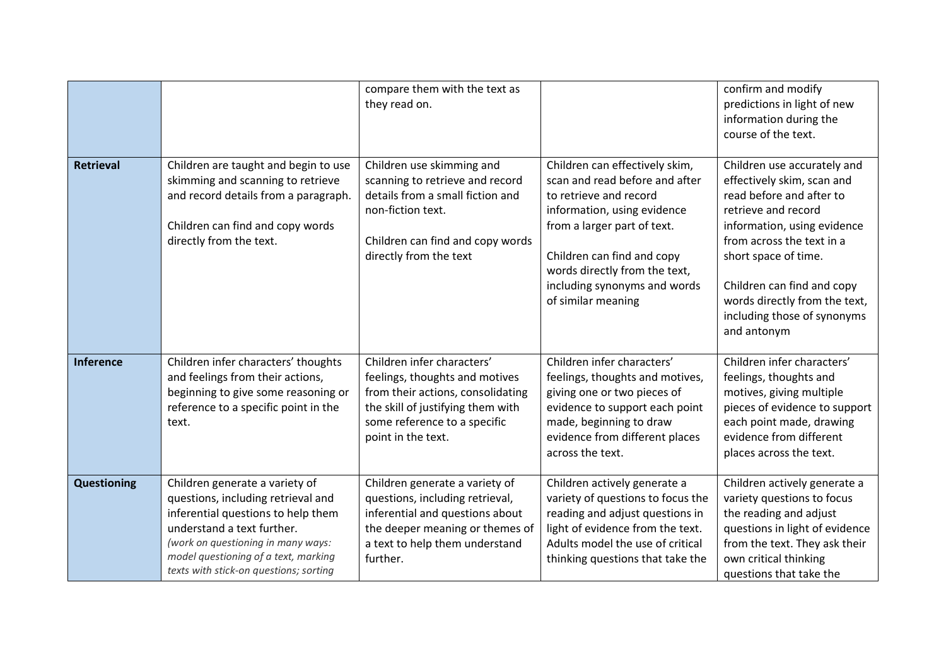|                    |                                                                                                                                                                                                                                                                  | compare them with the text as<br>they read on.                                                                                                                                               |                                                                                                                                                                                                                                                                               | confirm and modify<br>predictions in light of new<br>information during the<br>course of the text.                                                                                                                                                                                                            |
|--------------------|------------------------------------------------------------------------------------------------------------------------------------------------------------------------------------------------------------------------------------------------------------------|----------------------------------------------------------------------------------------------------------------------------------------------------------------------------------------------|-------------------------------------------------------------------------------------------------------------------------------------------------------------------------------------------------------------------------------------------------------------------------------|---------------------------------------------------------------------------------------------------------------------------------------------------------------------------------------------------------------------------------------------------------------------------------------------------------------|
| <b>Retrieval</b>   | Children are taught and begin to use<br>skimming and scanning to retrieve<br>and record details from a paragraph.<br>Children can find and copy words<br>directly from the text.                                                                                 | Children use skimming and<br>scanning to retrieve and record<br>details from a small fiction and<br>non-fiction text.<br>Children can find and copy words<br>directly from the text          | Children can effectively skim,<br>scan and read before and after<br>to retrieve and record<br>information, using evidence<br>from a larger part of text.<br>Children can find and copy<br>words directly from the text,<br>including synonyms and words<br>of similar meaning | Children use accurately and<br>effectively skim, scan and<br>read before and after to<br>retrieve and record<br>information, using evidence<br>from across the text in a<br>short space of time.<br>Children can find and copy<br>words directly from the text,<br>including those of synonyms<br>and antonym |
| <b>Inference</b>   | Children infer characters' thoughts<br>and feelings from their actions,<br>beginning to give some reasoning or<br>reference to a specific point in the<br>text.                                                                                                  | Children infer characters'<br>feelings, thoughts and motives<br>from their actions, consolidating<br>the skill of justifying them with<br>some reference to a specific<br>point in the text. | Children infer characters'<br>feelings, thoughts and motives,<br>giving one or two pieces of<br>evidence to support each point<br>made, beginning to draw<br>evidence from different places<br>across the text.                                                               | Children infer characters'<br>feelings, thoughts and<br>motives, giving multiple<br>pieces of evidence to support<br>each point made, drawing<br>evidence from different<br>places across the text.                                                                                                           |
| <b>Questioning</b> | Children generate a variety of<br>questions, including retrieval and<br>inferential questions to help them<br>understand a text further.<br>(work on questioning in many ways:<br>model questioning of a text, marking<br>texts with stick-on questions; sorting | Children generate a variety of<br>questions, including retrieval,<br>inferential and questions about<br>the deeper meaning or themes of<br>a text to help them understand<br>further.        | Children actively generate a<br>variety of questions to focus the<br>reading and adjust questions in<br>light of evidence from the text.<br>Adults model the use of critical<br>thinking questions that take the                                                              | Children actively generate a<br>variety questions to focus<br>the reading and adjust<br>questions in light of evidence<br>from the text. They ask their<br>own critical thinking<br>questions that take the                                                                                                   |